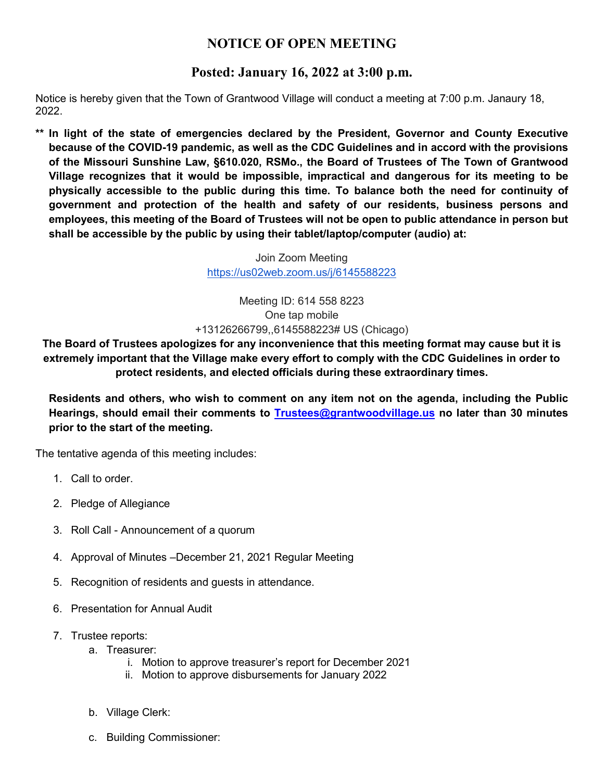## **NOTICE OF OPEN MEETING**

## **Posted: January 16, 2022 at 3:00 p.m.**

Notice is hereby given that the Town of Grantwood Village will conduct a meeting at 7:00 p.m. Janaury 18, 2022.

**\*\* In light of the state of emergencies declared by the President, Governor and County Executive because of the COVID-19 pandemic, as well as the CDC Guidelines and in accord with the provisions of the Missouri Sunshine Law, §610.020, RSMo., the Board of Trustees of The Town of Grantwood Village recognizes that it would be impossible, impractical and dangerous for its meeting to be physically accessible to the public during this time. To balance both the need for continuity of government and protection of the health and safety of our residents, business persons and employees, this meeting of the Board of Trustees will not be open to public attendance in person but shall be accessible by the public by using their tablet/laptop/computer (audio) at:**

> Join Zoom Meeting <https://us02web.zoom.us/j/6145588223>

Meeting ID: 614 558 8223 One tap mobile +13126266799,,6145588223# US (Chicago)

**The Board of Trustees apologizes for any inconvenience that this meeting format may cause but it is extremely important that the Village make every effort to comply with the CDC Guidelines in order to protect residents, and elected officials during these extraordinary times.**

**Residents and others, who wish to comment on any item not on the agenda, including the Public Hearings, should email their comments to [Trustees@grantwoodvillage.us](mailto:Trustees@grantwoodvillage.us) no later than 30 minutes prior to the start of the meeting.** 

The tentative agenda of this meeting includes:

- 1. Call to order.
- 2. Pledge of Allegiance
- 3. Roll Call Announcement of a quorum
- 4. Approval of Minutes –December 21, 2021 Regular Meeting
- 5. Recognition of residents and guests in attendance.
- 6. Presentation for Annual Audit
- 7. Trustee reports:
	- a. Treasurer:
		- i. Motion to approve treasurer's report for December 2021
		- ii. Motion to approve disbursements for January 2022
	- b. Village Clerk:
	- c. Building Commissioner: